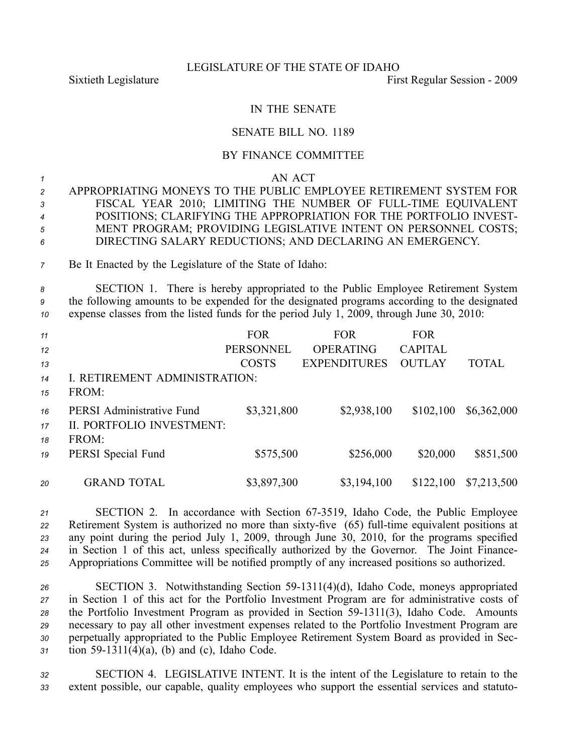## LEGISLATURE OF THE STATE OF IDAHO

Sixtieth Legislature **First** Regular Session - 2009

## IN THE SENATE

## SENATE BILL NO. 1189

## BY FINANCE COMMITTEE

*1* AN ACT

- *<sup>2</sup>* APPROPRIATING MONEYS TO THE PUBLIC EMPLOYEE RETIREMENT SYSTEM FOR *<sup>3</sup>* FISCAL YEAR 2010; LIMITING THE NUMBER OF FULLTIME EQUIVALENT *<sup>4</sup>* POSITIONS; CLARIFYING THE APPROPRIATION FOR THE PORTFOLIO INVEST-*<sup>5</sup>* MENT PROGRAM; PROVIDING LEGISLATIVE INTENT ON PERSONNEL COSTS; *<sup>6</sup>* DIRECTING SALARY REDUCTIONS; AND DECLARING AN EMERGENCY.
- *<sup>7</sup>* Be It Enacted by the Legislature of the State of Idaho:

*<sup>8</sup>* SECTION 1. There is hereby appropriated to the Public Employee Retirement System *<sup>9</sup>* the following amounts to be expended for the designated programs according to the designated *<sup>10</sup>* expense classes from the listed funds for the period July 1, 2009, through June 30, 2010:

| 11 |                                  | <b>FOR</b>       | <b>FOR</b>          | <b>FOR</b>     |              |
|----|----------------------------------|------------------|---------------------|----------------|--------------|
| 12 |                                  | <b>PERSONNEL</b> | <b>OPERATING</b>    | <b>CAPITAL</b> |              |
| 13 |                                  | <b>COSTS</b>     | <b>EXPENDITURES</b> | <b>OUTLAY</b>  | <b>TOTAL</b> |
| 14 | I. RETIREMENT ADMINISTRATION:    |                  |                     |                |              |
| 15 | FROM:                            |                  |                     |                |              |
| 16 | <b>PERSI Administrative Fund</b> | \$3,321,800      | \$2,938,100         | \$102,100      | \$6,362,000  |
| 17 | II. PORTFOLIO INVESTMENT:        |                  |                     |                |              |
| 18 | FROM:                            |                  |                     |                |              |
| 19 | PERSI Special Fund               | \$575,500        | \$256,000           | \$20,000       | \$851,500    |
|    |                                  |                  |                     |                |              |
| 20 | <b>GRAND TOTAL</b>               | \$3,897,300      | \$3,194,100         | \$122,100      | \$7,213,500  |

 SECTION 2. In accordance with Section 673519, Idaho Code, the Public Employee 22 Retirement System is authorized no more than sixty-five (65) full-time equivalent positions at any point during the period July 1, 2009, through June 30, 2010, for the programs specified in Section 1 of this act, unless specifically authorized by the Governor. The Joint Finance-Appropriations Committee will be notified promptly of any increased positions so authorized.

 SECTION 3. Notwithstanding Section 591311(4)(d), Idaho Code, moneys appropriated in Section 1 of this act for the Portfolio Investment Program are for administrative costs of 28 the Portfolio Investment Program as provided in Section 59-1311(3), Idaho Code. Amounts necessary to pay all other investment expenses related to the Portfolio Investment Program are perpetually appropriated to the Public Employee Retirement System Board as provided in Sec-tion 59-1311(4)(a), (b) and (c), Idaho Code.

*<sup>32</sup>* SECTION 4. LEGISLATIVE INTENT. It is the intent of the Legislature to retain to the *<sup>33</sup>* extent possible, our capable, quality employees who suppor<sup>t</sup> the essential services and statuto